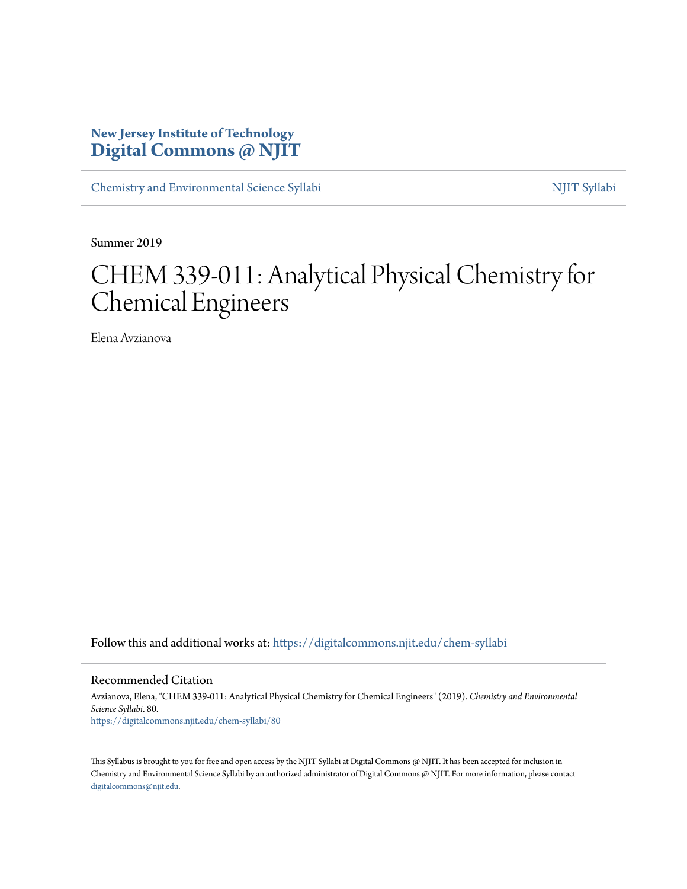### **New Jersey Institute of Technology [Digital Commons @ NJIT](https://digitalcommons.njit.edu?utm_source=digitalcommons.njit.edu%2Fchem-syllabi%2F80&utm_medium=PDF&utm_campaign=PDFCoverPages)**

[Chemistry and Environmental Science Syllabi](https://digitalcommons.njit.edu/chem-syllabi?utm_source=digitalcommons.njit.edu%2Fchem-syllabi%2F80&utm_medium=PDF&utm_campaign=PDFCoverPages) [NJIT Syllabi](https://digitalcommons.njit.edu/syllabi?utm_source=digitalcommons.njit.edu%2Fchem-syllabi%2F80&utm_medium=PDF&utm_campaign=PDFCoverPages)

Summer 2019

# CHEM 339-011: Analytical Physical Chemistry for Chemical Engineers

Elena Avzianova

Follow this and additional works at: [https://digitalcommons.njit.edu/chem-syllabi](https://digitalcommons.njit.edu/chem-syllabi?utm_source=digitalcommons.njit.edu%2Fchem-syllabi%2F80&utm_medium=PDF&utm_campaign=PDFCoverPages)

Recommended Citation

Avzianova, Elena, "CHEM 339-011: Analytical Physical Chemistry for Chemical Engineers" (2019). *Chemistry and Environmental Science Syllabi*. 80. [https://digitalcommons.njit.edu/chem-syllabi/80](https://digitalcommons.njit.edu/chem-syllabi/80?utm_source=digitalcommons.njit.edu%2Fchem-syllabi%2F80&utm_medium=PDF&utm_campaign=PDFCoverPages)

This Syllabus is brought to you for free and open access by the NJIT Syllabi at Digital Commons @ NJIT. It has been accepted for inclusion in Chemistry and Environmental Science Syllabi by an authorized administrator of Digital Commons @ NJIT. For more information, please contact [digitalcommons@njit.edu](mailto:digitalcommons@njit.edu).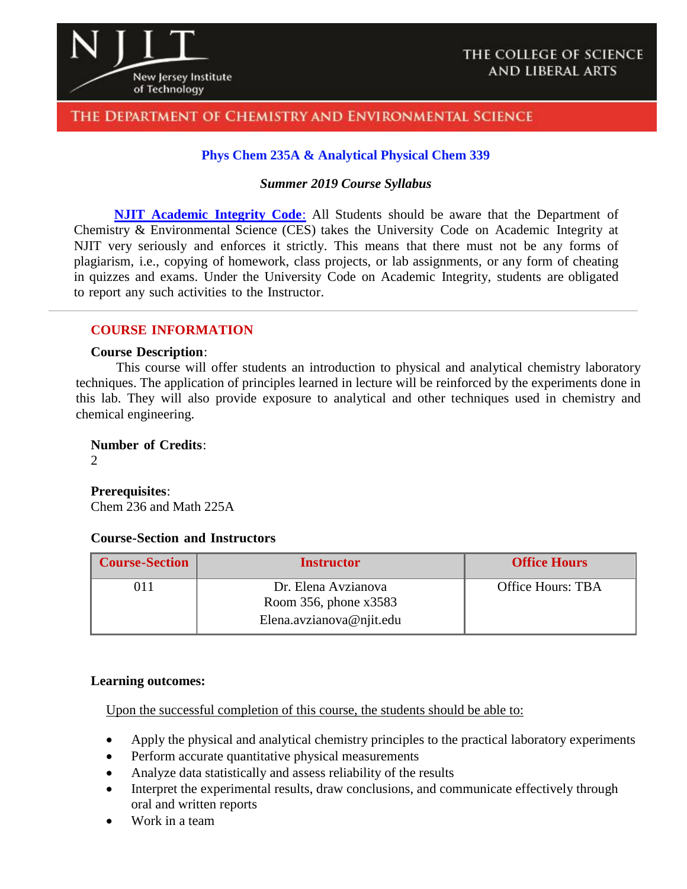

#### THE DEPARTMENT OF CHEMISTRY AND ENVIRONMENTAL SCIENCE

#### **Phys Chem 235A & Analytical Physical Chem 339**

#### *Summer 2019 Course Syllabus*

**NJIT [Academic](https://www.njit.edu/policies/sites/policies/files/academic-integrity-code.pdf) Integrity Code**: All Students should be aware that the Department of Chemistry & Environmental Science (CES) takes the University Code on Academic Integrity at NJIT very seriously and enforces it strictly. This means that there must not be any forms of plagiarism, i.e., copying of homework, class projects, or lab assignments, or any form of cheating in quizzes and exams. Under the University Code on Academic Integrity, students are obligated to report any such activities to the Instructor.

#### **COURSE INFORMATION**

#### **Course Description**:

This course will offer students an introduction to physical and analytical chemistry laboratory techniques. The application of principles learned in lecture will be reinforced by the experiments done in this lab. They will also provide exposure to analytical and other techniques used in chemistry and chemical engineering.

**Number of Credits**:

 $\mathcal{D}_{\mathcal{L}}$ 

**Prerequisites**:

Chem 236 and Math 225A

#### **Course-Section and Instructors**

| <b>Course-Section</b> | <b>Instructor</b>                              | <b>Office Hours</b> |
|-----------------------|------------------------------------------------|---------------------|
| O1 1                  | Dr. Elena Avzianova<br>Room 356, phone $x3583$ | Office Hours: TBA   |
|                       | Elena.avzianova@njit.edu                       |                     |

#### **Learning outcomes:**

Upon the successful completion of this course, the students should be able to:

- Apply the physical and analytical chemistry principles to the practical laboratory experiments
- Perform accurate quantitative physical measurements
- Analyze data statistically and assess reliability of the results
- Interpret the experimental results, draw conclusions, and communicate effectively through oral and written reports
- Work in a team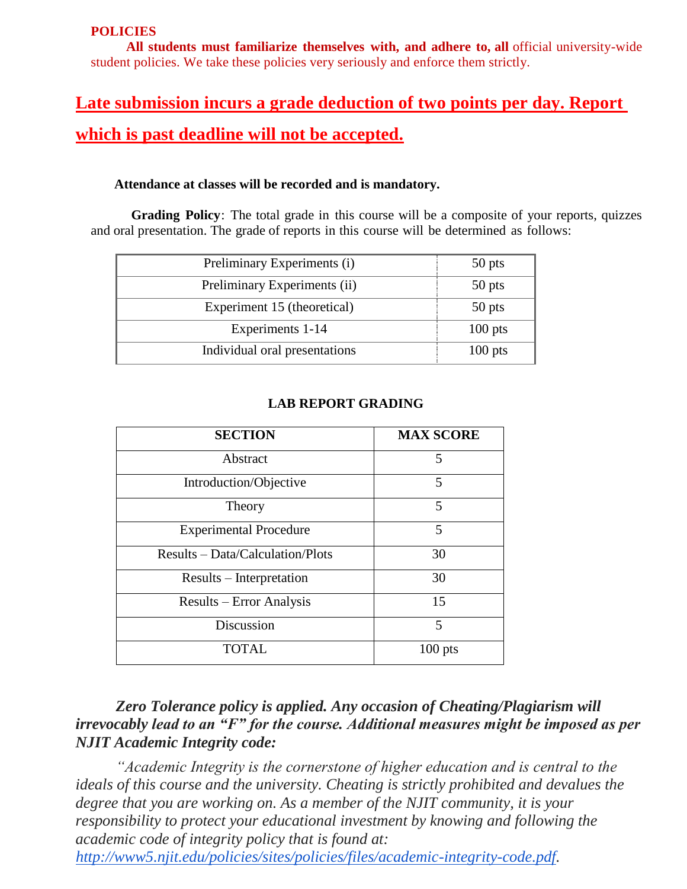#### **POLICIES**

**All students must familiarize themselves with, and adhere to, all** official university-wide student policies. We take these policies very seriously and enforce them strictly.

## **Late submission incurs a grade deduction of two points per day. Report which is past deadline will not be accepted.**

#### **Attendance at classes will be recorded and is mandatory.**

**Grading Policy**: The total grade in this course will be a composite of your reports, quizzes and oral presentation. The grade of reports in this course will be determined as follows:

| Preliminary Experiments (i)   | 50 pts    |
|-------------------------------|-----------|
| Preliminary Experiments (ii)  | 50 pts    |
| Experiment 15 (theoretical)   | 50 pts    |
| Experiments 1-14              | $100$ pts |
| Individual oral presentations | $100$ pts |

| <b>SECTION</b>                   | <b>MAX SCORE</b> |
|----------------------------------|------------------|
| Abstract                         | 5                |
| Introduction/Objective           | 5                |
| Theory                           | 5                |
| <b>Experimental Procedure</b>    | 5                |
| Results – Data/Calculation/Plots | 30               |
| Results – Interpretation         | 30               |
| Results – Error Analysis         | 15               |
| Discussion                       | 5                |
| TOTAL                            | $100$ pts        |

#### **LAB REPORT GRADING**

### *Zero Tolerance policy is applied. Any occasion of Cheating/Plagiarism will irrevocably lead to an "F" for the course. Additional measures might be imposed as per NJIT Academic Integrity code:*

*"Academic Integrity is the cornerstone of higher education and is central to the ideals of this course and the university. Cheating is strictly prohibited and devalues the degree that you are working on. As a member of the NJIT community, it is your responsibility to protect your educational investment by knowing and following the academic code of integrity policy that is found at:*

*[http://www5.njit.edu/policies/sites/policies/files/academic-integrity-code.pdf.](http://www5.njit.edu/policies/sites/policies/files/academic-integrity-code.pdf)*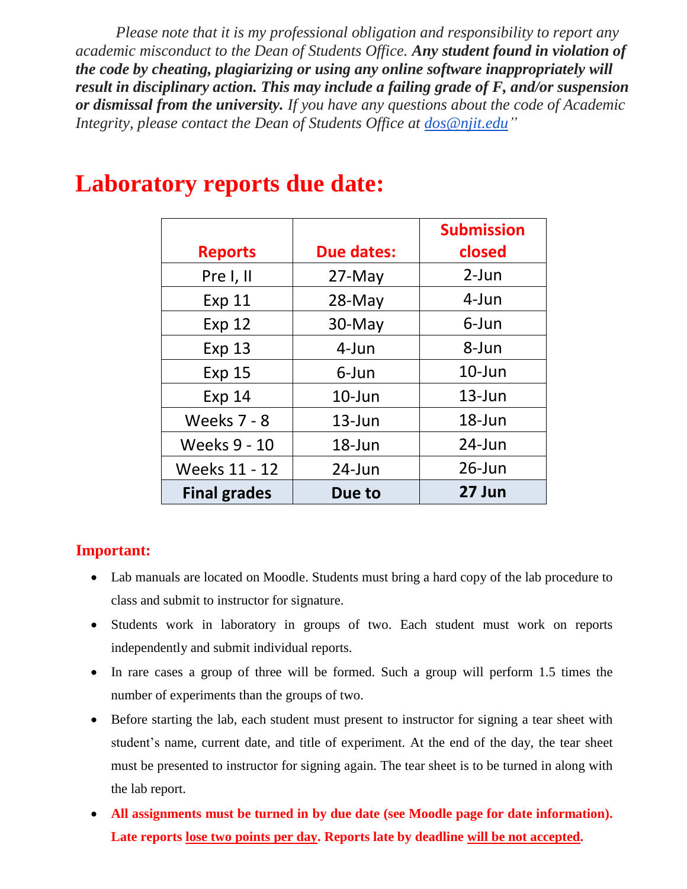*Please note that it is my professional obligation and responsibility to report any academic misconduct to the Dean of Students Office. Any student found in violation of the code by cheating, plagiarizing or using any online software inappropriately will result in disciplinary action. This may include a failing grade of F, and/or suspension or dismissal from the university. If you have any questions about the code of Academic Integrity, please contact the Dean of Students Office at [dos@njit.edu"](mailto:dos@njit.edu)*

|                     |                   | <b>Submission</b> |
|---------------------|-------------------|-------------------|
| <b>Reports</b>      | <b>Due dates:</b> | closed            |
| Pre I, II           | $27$ -May         | $2-Jun$           |
| <b>Exp 11</b>       | $28$ -May         | $4$ -Jun          |
| <b>Exp 12</b>       | 30-May            | 6-Jun             |
| <b>Exp 13</b>       | 4-Jun             | 8-Jun             |
| <b>Exp 15</b>       | 6-Jun             | $10$ -Jun         |
| <b>Exp 14</b>       | $10$ -Jun         | $13$ -Jun         |
| <b>Weeks 7 - 8</b>  | $13$ -Jun         | 18-Jun            |
| <b>Weeks 9 - 10</b> | 18-Jun            | 24-Jun            |
| Weeks 11 - 12       | $24$ -Jun         | $26$ -Jun         |
| <b>Final grades</b> | Due to            | 27 Jun            |

## **Laboratory reports due date:**

### **Important:**

- Lab manuals are located on Moodle. Students must bring a hard copy of the lab procedure to class and submit to instructor for signature.
- Students work in laboratory in groups of two. Each student must work on reports independently and submit individual reports.
- In rare cases a group of three will be formed. Such a group will perform 1.5 times the number of experiments than the groups of two.
- Before starting the lab, each student must present to instructor for signing a tear sheet with student's name, current date, and title of experiment. At the end of the day, the tear sheet must be presented to instructor for signing again. The tear sheet is to be turned in along with the lab report.
- **All assignments must be turned in by due date (see Moodle page for date information). Late reports lose two points per day. Reports late by deadline will be not accepted.**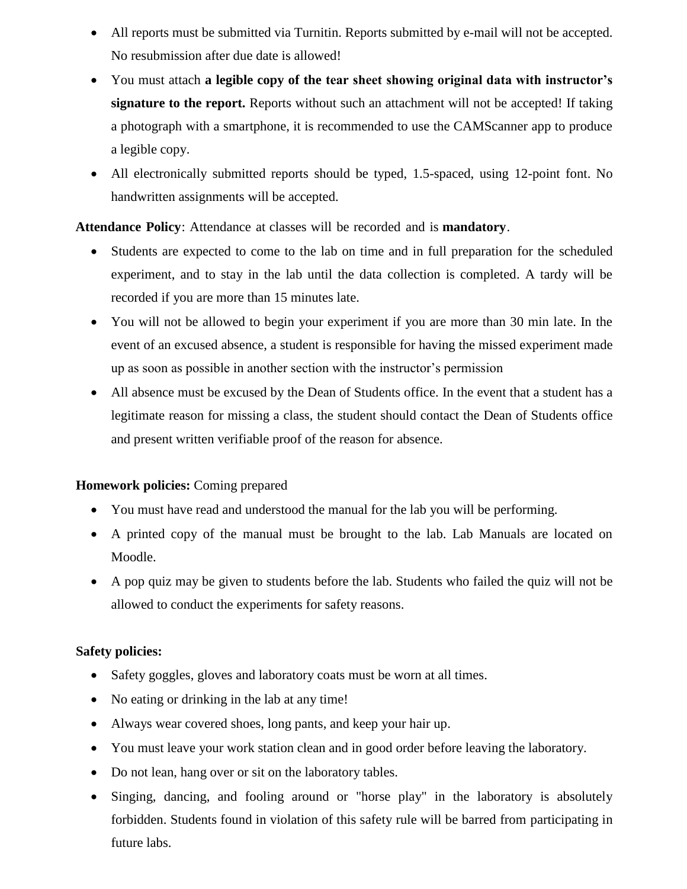- All reports must be submitted via Turnitin. Reports submitted by e-mail will not be accepted. No resubmission after due date is allowed!
- You must attach **a legible copy of the tear sheet showing original data with instructor's signature to the report.** Reports without such an attachment will not be accepted! If taking a photograph with a smartphone, it is recommended to use the CAMScanner app to produce a legible copy.
- All electronically submitted reports should be typed, 1.5-spaced, using 12-point font. No handwritten assignments will be accepted.

**Attendance Policy**: Attendance at classes will be recorded and is **mandatory**.

- Students are expected to come to the lab on time and in full preparation for the scheduled experiment, and to stay in the lab until the data collection is completed. A tardy will be recorded if you are more than 15 minutes late.
- You will not be allowed to begin your experiment if you are more than 30 min late. In the event of an excused absence, a student is responsible for having the missed experiment made up as soon as possible in another section with the instructor's permission
- All absence must be excused by the Dean of Students office. In the event that a student has a legitimate reason for missing a class, the student should contact the Dean of Students office and present written verifiable proof of the reason for absence.

#### **Homework policies:** Coming prepared

- You must have read and understood the manual for the lab you will be performing.
- A printed copy of the manual must be brought to the lab. Lab Manuals are located on Moodle.
- A pop quiz may be given to students before the lab. Students who failed the quiz will not be allowed to conduct the experiments for safety reasons.

#### **Safety policies:**

- Safety goggles, gloves and laboratory coats must be worn at all times.
- No eating or drinking in the lab at any time!
- Always wear covered shoes, long pants, and keep your hair up.
- You must leave your work station clean and in good order before leaving the laboratory.
- Do not lean, hang over or sit on the laboratory tables.
- Singing, dancing, and fooling around or "horse play" in the laboratory is absolutely forbidden. Students found in violation of this safety rule will be barred from participating in future labs.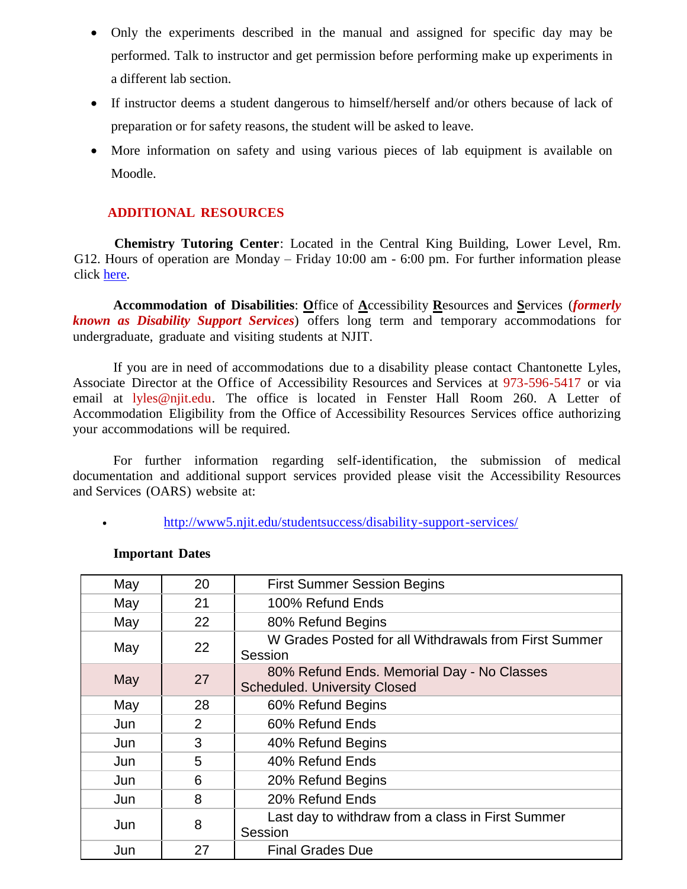- Only the experiments described in the manual and assigned for specific day may be performed. Talk to instructor and get permission before performing make up experiments in a different lab section.
- If instructor deems a student dangerous to himself/herself and/or others because of lack of preparation or for safety reasons, the student will be asked to leave.
- More information on safety and using various pieces of lab equipment is available on Moodle.

#### **ADDITIONAL RESOURCES**

**Chemistry Tutoring Center**: Located in the Central King Building, Lower Level, Rm. G12. Hours of operation are Monday – Friday 10:00 am - 6:00 pm. For further information please click [here.](http://chemistry.njit.edu/students/)

**Accommodation of Disabilities**: **O**ffice of **A**ccessibility **R**esources and **S**ervices (*formerly known as Disability Support Services*) offers long term and temporary accommodations for undergraduate, graduate and visiting students at NJIT.

If you are in need of accommodations due to a disability please contact Chantonette Lyles, Associate Director at the Office of Accessibility Resources and Services at 973-596-5417 or via email at [lyles@njit.edu.](mailto:lyles@njit.edu) The office is located in Fenster Hall Room 260. A Letter of Accommodation Eligibility from the Office of Accessibility Resources Services office authorizing your accommodations will be required.

For further information regarding self-identification, the submission of medical documentation and additional support services provided please visit the Accessibility Resources and Services (OARS) website at:

[http://www5.njit.edu/studentsuccess/disability-support-services/](http://www.njit.edu/studentsuccess/accessibility/)

| May | 20             | <b>First Summer Session Begins</b>                                                |
|-----|----------------|-----------------------------------------------------------------------------------|
| May | 21             | 100% Refund Ends                                                                  |
| May | 22             | 80% Refund Begins                                                                 |
| May | 22             | W Grades Posted for all Withdrawals from First Summer<br>Session                  |
| May | 27             | 80% Refund Ends. Memorial Day - No Classes<br><b>Scheduled. University Closed</b> |
| May | 28             | 60% Refund Begins                                                                 |
| Jun | $\overline{2}$ | 60% Refund Ends                                                                   |
| Jun | 3              | 40% Refund Begins                                                                 |
| Jun | 5              | 40% Refund Ends                                                                   |
| Jun | 6              | 20% Refund Begins                                                                 |
| Jun | 8              | 20% Refund Ends                                                                   |
| Jun | 8              | Last day to withdraw from a class in First Summer<br>Session                      |
| Jun | 27             | <b>Final Grades Due</b>                                                           |

#### **Important Dates**